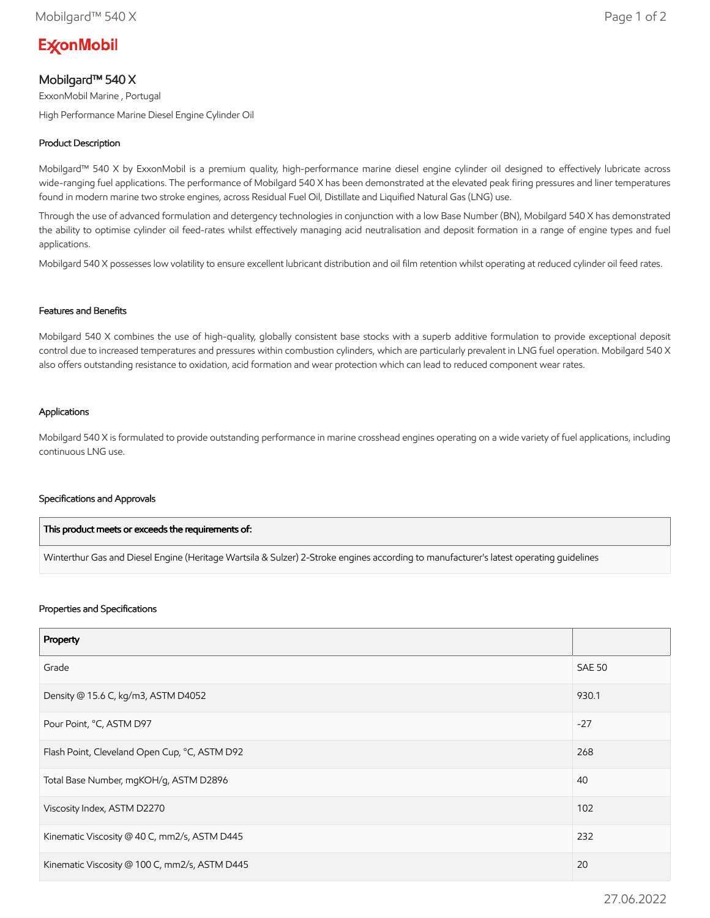# **ExconMobil**

# Mobilgard™ 540 X

ExxonMobil Marine , Portugal

High Performance Marine Diesel Engine Cylinder Oil

## Product Description

Mobilgard™ 540 X by ExxonMobil is a premium quality, high-performance marine diesel engine cylinder oil designed to effectively lubricate across wide-ranging fuel applications. The performance of Mobilgard 540 X has been demonstrated at the elevated peak firing pressures and liner temperatures found in modern marine two stroke engines, across Residual Fuel Oil, Distillate and Liquified Natural Gas (LNG) use.

Through the use of advanced formulation and detergency technologies in conjunction with a low Base Number (BN), Mobilgard 540 X has demonstrated the ability to optimise cylinder oil feed-rates whilst effectively managing acid neutralisation and deposit formation in a range of engine types and fuel applications.

Mobilgard 540 X possesses low volatility to ensure excellent lubricant distribution and oil film retention whilst operating at reduced cylinder oil feed rates.

#### Features and Benefits

Mobilgard 540 X combines the use of high-quality, globally consistent base stocks with a superb additive formulation to provide exceptional deposit control due to increased temperatures and pressures within combustion cylinders, which are particularly prevalent in LNG fuel operation. Mobilgard 540 X also offers outstanding resistance to oxidation, acid formation and wear protection which can lead to reduced component wear rates.

#### Applications

Mobilgard 540 X is formulated to provide outstanding performance in marine crosshead engines operating on a wide variety of fuel applications, including continuous LNG use.

#### Specifications and Approvals

| $\,$ This product meets or exceeds the requirements of: $\,$                                                                           |
|----------------------------------------------------------------------------------------------------------------------------------------|
| Winterthur Gas and Diesel Engine (Heritage Wartsila & Sulzer) 2-Stroke engines according to manufacturer's latest operating quidelines |

#### Properties and Specifications

| Property                                      |               |
|-----------------------------------------------|---------------|
| Grade                                         | <b>SAE 50</b> |
| Density @ 15.6 C, kg/m3, ASTM D4052           | 930.1         |
| Pour Point, °C, ASTM D97                      | $-27$         |
| Flash Point, Cleveland Open Cup, °C, ASTM D92 | 268           |
| Total Base Number, mgKOH/g, ASTM D2896        | 40            |
| Viscosity Index, ASTM D2270                   | 102           |
| Kinematic Viscosity @ 40 C, mm2/s, ASTM D445  | 232           |
| Kinematic Viscosity @ 100 C, mm2/s, ASTM D445 | 20            |